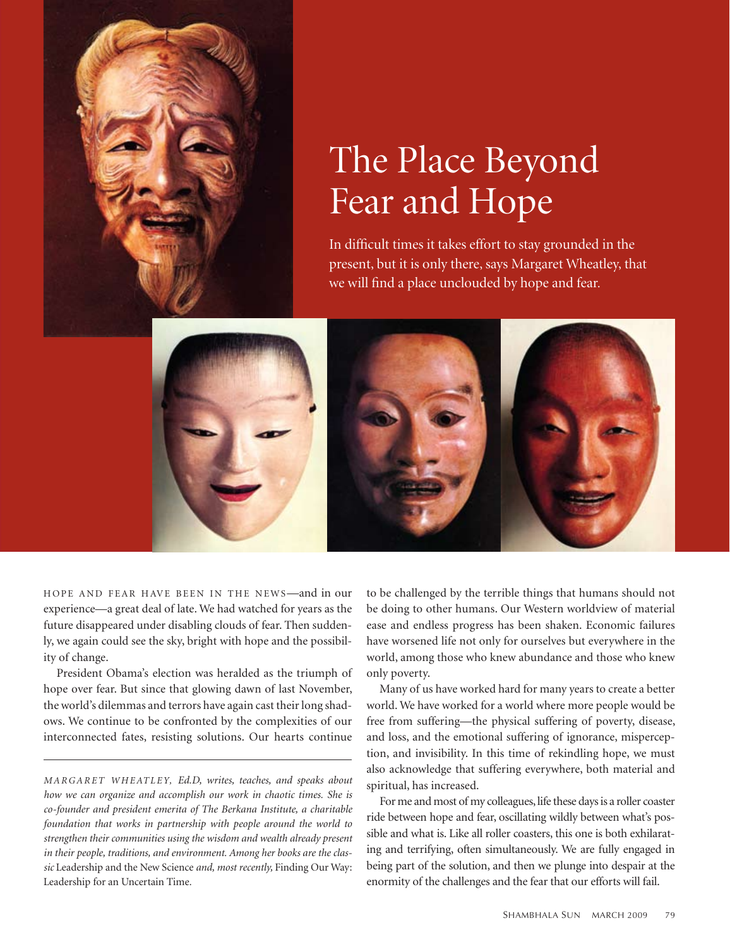

## The Place Beyond Fear and Hope

In difficult times it takes effort to stay grounded in the present, but it is only there, says Margaret Wheatley, that we will find a place unclouded by hope and fear.



HOPE AND FEAR HAVE BEEN IN THE NEWS—and in our experience—a great deal of late. We had watched for years as the future disappeared under disabling clouds of fear. Then suddenly, we again could see the sky, bright with hope and the possibility of change.

President Obama's election was heralded as the triumph of hope over fear. But since that glowing dawn of last November, the world's dilemmas and terrors have again cast their long shadows. We continue to be confronted by the complexities of our interconnected fates, resisting solutions. Our hearts continue

*Margaret Wheatley, Ed.D, writes, teaches, and speaks about how we can organize and accomplish our work in chaotic times. She is co-founder and president emerita of The Berkana Institute, a charitable foundation that works in partnership with people around the world to strengthen their communities using the wisdom and wealth already present in their people, traditions, and environment. Among her books are the classic* Leadership and the New Science *and, most recently,* Finding Our Way: Leadership for an Uncertain Time*.*

to be challenged by the terrible things that humans should not be doing to other humans. Our Western worldview of material ease and endless progress has been shaken. Economic failures have worsened life not only for ourselves but everywhere in the world, among those who knew abundance and those who knew only poverty.

Many of us have worked hard for many years to create a better world. We have worked for a world where more people would be free from suffering—the physical suffering of poverty, disease, and loss, and the emotional suffering of ignorance, misperception, and invisibility. In this time of rekindling hope, we must also acknowledge that suffering everywhere, both material and spiritual, has increased.

For me and most of my colleagues, life these days is a roller coaster ride between hope and fear, oscillating wildly between what's possible and what is. Like all roller coasters, this one is both exhilarating and terrifying, often simultaneously. We are fully engaged in being part of the solution, and then we plunge into despair at the enormity of the challenges and the fear that our efforts will fail.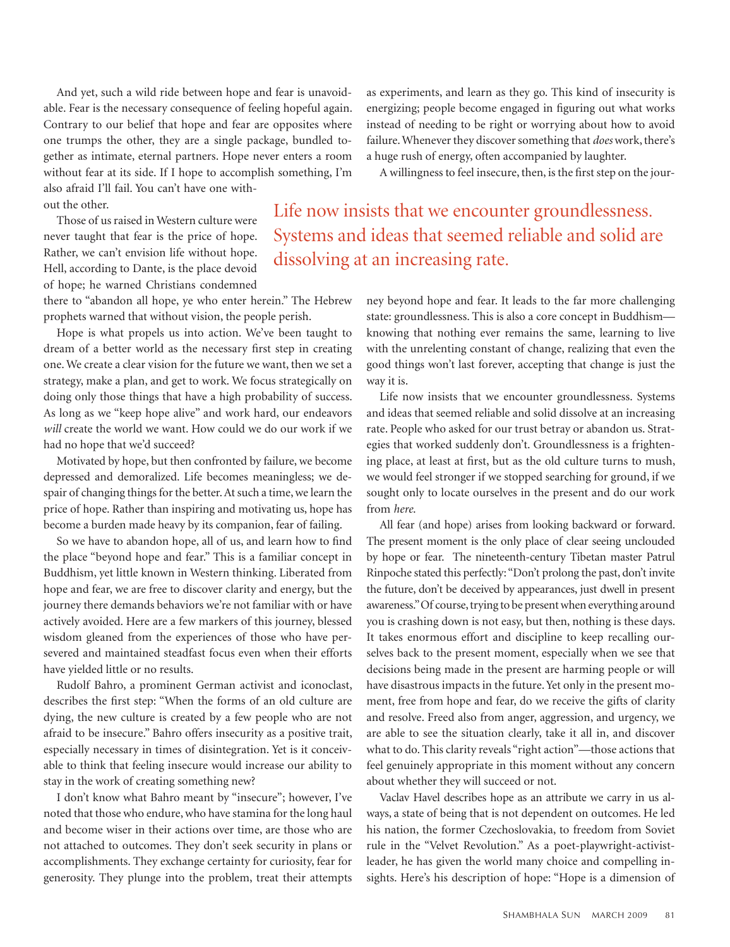And yet, such a wild ride between hope and fear is unavoidable. Fear is the necessary consequence of feeling hopeful again. Contrary to our belief that hope and fear are opposites where one trumps the other, they are a single package, bundled together as intimate, eternal partners. Hope never enters a room without fear at its side. If I hope to accomplish something, I'm also afraid I'll fail. You can't have one with-

out the other.

Those of us raised in Western culture were never taught that fear is the price of hope. Rather, we can't envision life without hope. Hell, according to Dante, is the place devoid of hope; he warned Christians condemned

there to "abandon all hope, ye who enter herein." The Hebrew prophets warned that without vision, the people perish.

Hope is what propels us into action. We've been taught to dream of a better world as the necessary first step in creating one. We create a clear vision for the future we want, then we set a strategy, make a plan, and get to work. We focus strategically on doing only those things that have a high probability of success. As long as we "keep hope alive" and work hard, our endeavors *will* create the world we want. How could we do our work if we had no hope that we'd succeed?

Motivated by hope, but then confronted by failure, we become depressed and demoralized. Life becomes meaningless; we despair of changing things for the better. At such a time, we learn the price of hope. Rather than inspiring and motivating us, hope has become a burden made heavy by its companion, fear of failing.

So we have to abandon hope, all of us, and learn how to find the place "beyond hope and fear." This is a familiar concept in Buddhism, yet little known in Western thinking. Liberated from hope and fear, we are free to discover clarity and energy, but the journey there demands behaviors we're not familiar with or have actively avoided. Here are a few markers of this journey, blessed wisdom gleaned from the experiences of those who have persevered and maintained steadfast focus even when their efforts have yielded little or no results.

Rudolf Bahro, a prominent German activist and iconoclast, describes the first step: "When the forms of an old culture are dying, the new culture is created by a few people who are not afraid to be insecure." Bahro offers insecurity as a positive trait, especially necessary in times of disintegration. Yet is it conceivable to think that feeling insecure would increase our ability to stay in the work of creating something new?

I don't know what Bahro meant by "insecure"; however, I've noted that those who endure, who have stamina for the long haul and become wiser in their actions over time, are those who are not attached to outcomes. They don't seek security in plans or accomplishments. They exchange certainty for curiosity, fear for generosity. They plunge into the problem, treat their attempts as experiments, and learn as they go. This kind of insecurity is energizing; people become engaged in figuring out what works instead of needing to be right or worrying about how to avoid failure. Whenever they discover something that *does* work, there's a huge rush of energy, often accompanied by laughter.

A willingness to feel insecure, then, is the first step on the jour-

## Life now insists that we encounter groundlessness. Systems and ideas that seemed reliable and solid are dissolving at an increasing rate.

ney beyond hope and fear. It leads to the far more challenging state: groundlessness. This is also a core concept in Buddhism knowing that nothing ever remains the same, learning to live with the unrelenting constant of change, realizing that even the good things won't last forever, accepting that change is just the way it is.

Life now insists that we encounter groundlessness. Systems and ideas that seemed reliable and solid dissolve at an increasing rate. People who asked for our trust betray or abandon us. Strategies that worked suddenly don't. Groundlessness is a frightening place, at least at first, but as the old culture turns to mush, we would feel stronger if we stopped searching for ground, if we sought only to locate ourselves in the present and do our work from *here*.

All fear (and hope) arises from looking backward or forward. The present moment is the only place of clear seeing unclouded by hope or fear. The nineteenth-century Tibetan master Patrul Rinpoche stated this perfectly: "Don't prolong the past, don't invite the future, don't be deceived by appearances, just dwell in present awareness." Of course, trying to be present when everything around you is crashing down is not easy, but then, nothing is these days. It takes enormous effort and discipline to keep recalling ourselves back to the present moment, especially when we see that decisions being made in the present are harming people or will have disastrous impacts in the future. Yet only in the present moment, free from hope and fear, do we receive the gifts of clarity and resolve. Freed also from anger, aggression, and urgency, we are able to see the situation clearly, take it all in, and discover what to do. This clarity reveals "right action"—those actions that feel genuinely appropriate in this moment without any concern about whether they will succeed or not.

Vaclav Havel describes hope as an attribute we carry in us always, a state of being that is not dependent on outcomes. He led his nation, the former Czechoslovakia, to freedom from Soviet rule in the "Velvet Revolution." As a poet-playwright-activistleader, he has given the world many choice and compelling insights. Here's his description of hope: "Hope is a dimension of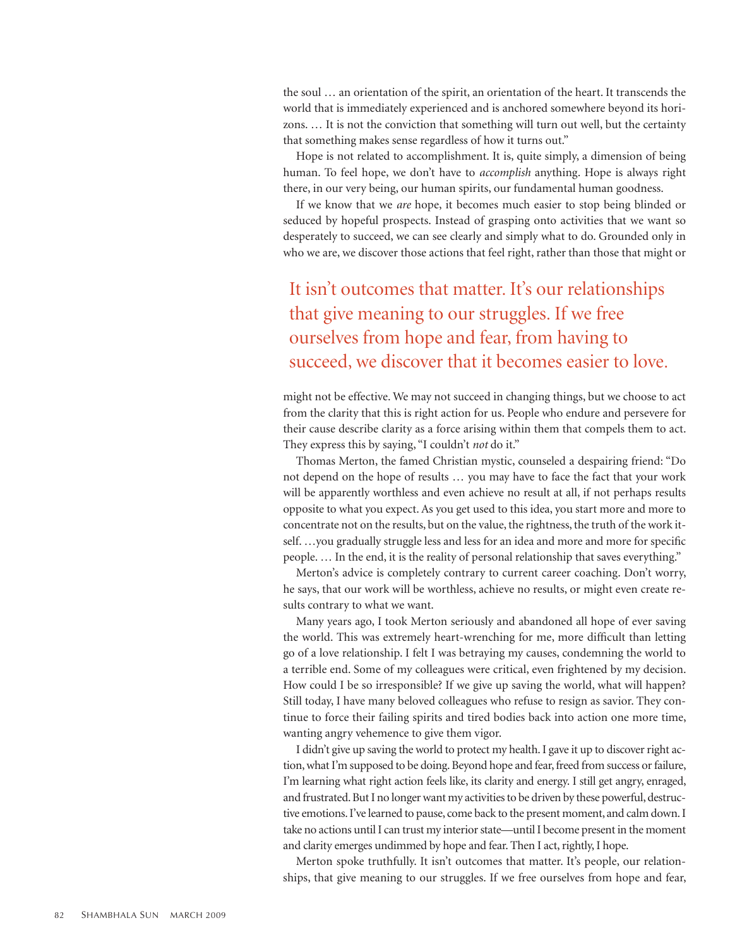the soul … an orientation of the spirit, an orientation of the heart. It transcends the world that is immediately experienced and is anchored somewhere beyond its horizons. … It is not the conviction that something will turn out well, but the certainty that something makes sense regardless of how it turns out."

Hope is not related to accomplishment. It is, quite simply, a dimension of being human. To feel hope, we don't have to *accomplish* anything. Hope is always right there, in our very being, our human spirits, our fundamental human goodness.

If we know that we *are* hope, it becomes much easier to stop being blinded or seduced by hopeful prospects. Instead of grasping onto activities that we want so desperately to succeed, we can see clearly and simply what to do. Grounded only in who we are, we discover those actions that feel right, rather than those that might or

## It isn't outcomes that matter. It's our relationships that give meaning to our struggles. If we free ourselves from hope and fear, from having to succeed, we discover that it becomes easier to love.

might not be effective. We may not succeed in changing things, but we choose to act from the clarity that this is right action for us. People who endure and persevere for their cause describe clarity as a force arising within them that compels them to act. They express this by saying, "I couldn't *not* do it."

Thomas Merton, the famed Christian mystic, counseled a despairing friend: "Do not depend on the hope of results … you may have to face the fact that your work will be apparently worthless and even achieve no result at all, if not perhaps results opposite to what you expect. As you get used to this idea, you start more and more to concentrate not on the results, but on the value, the rightness, the truth of the work itself. …you gradually struggle less and less for an idea and more and more for specific people. … In the end, it is the reality of personal relationship that saves everything."

Merton's advice is completely contrary to current career coaching. Don't worry, he says, that our work will be worthless, achieve no results, or might even create results contrary to what we want.

Many years ago, I took Merton seriously and abandoned all hope of ever saving the world. This was extremely heart-wrenching for me, more difficult than letting go of a love relationship. I felt I was betraying my causes, condemning the world to a terrible end. Some of my colleagues were critical, even frightened by my decision. How could I be so irresponsible? If we give up saving the world, what will happen? Still today, I have many beloved colleagues who refuse to resign as savior. They continue to force their failing spirits and tired bodies back into action one more time, wanting angry vehemence to give them vigor.

I didn't give up saving the world to protect my health. I gave it up to discover right action, what I'm supposed to be doing. Beyond hope and fear, freed from success or failure, I'm learning what right action feels like, its clarity and energy. I still get angry, enraged, and frustrated. But I no longer want my activities to be driven by these powerful, destructive emotions. I've learned to pause, come back to the present moment, and calm down. I take no actions until I can trust my interior state—until I become present in the moment and clarity emerges undimmed by hope and fear. Then I act, rightly, I hope.

Merton spoke truthfully. It isn't outcomes that matter. It's people, our relationships, that give meaning to our struggles. If we free ourselves from hope and fear,